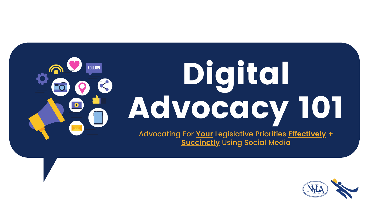

### Digital Advocacy 101 Advocating For **Your** Legislative Priorities **Effectively** + **Succinctly** Using Social Media

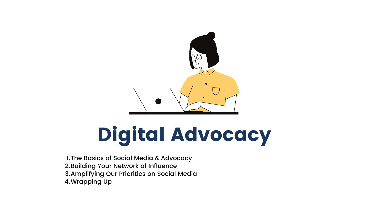

## Digital Advocacy

l.The Basics of Social Media & Advocacy 2.Building Your Network of Influence 3.Amplifying Our Priorities on Social Media 4.Wrapping Up

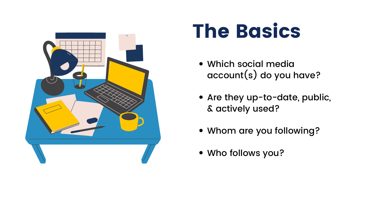





- Which social media account(s) do you have?
- Are they up-to-date, public, & actively used?
- Whom are you following?
- Who follows you?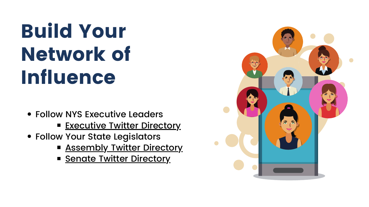### Build Your Network of Influence

- Follow NYS Executive Leaders
	- **[Executive](https://twitter.com/i/lists/1352030791971307528) Twitter Directory**
- Follow Your State Legislators
	- **E [Assembly](https://www.nyla.org/userfiles/uploads/NYLA_-_NYS_2022_Legislative_Directory_-_Assembly_Twitters.pdf) Twitter Directory**
	- **Senate Twitter [Directory](https://www.nyla.org/userfiles/uploads/NYLA_-_NYS_2022_Legislative_Directory_-_Senate_Twitters.pdf)**

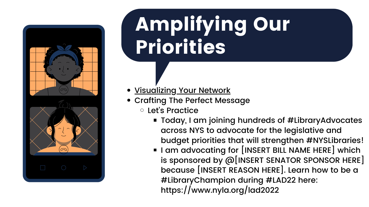■ Today, I am joining hundreds of #LibraryAdvocates across NYS to advocate for the legislative and budget priorities that will strengthen #NYSLibraries! **I** l am advocating for [INSERT BILL NAME HERE] which is sponsored by @[INSERT SENATOR SPONSOR HERE] because [INSERT REASON HERE]. Learn how to be a #LibraryChampion during #LAD22 here:

- **.** [Visualizing](https://www.nyla.org/userfiles/uploads/NYLA_-_Library_Advocacy_Day_22_-_Leveraging_Your_Network_of_Influence.pdf) Your Network
- Crafting The Perfect Message Let' s Practice
	-
	- https://www.nyla.org/lad2022





## Amplifying Our Priorities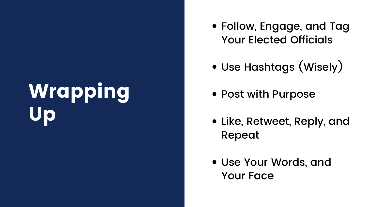### Wrapping Up

Follow, Engage, and Tag Your Elected Officials

- 
- Use Hashtags (Wisely)
- Post with Purpose
- Like, Retweet, Reply, and Repeat
- Use Your Words, and Your Face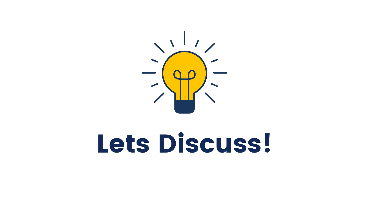

## Lets Discuss!